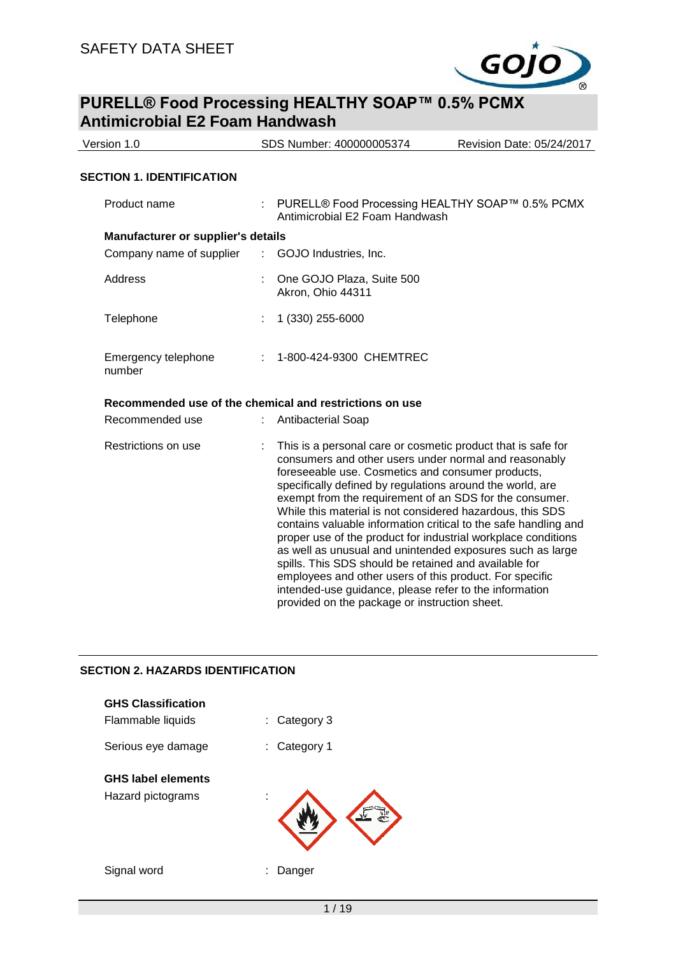

| Version 1.0                               |                                                                                                                                                                                                                                                                                                                                                                                                                                                                                                                                                                                                                                                                                                                                                                                                 | SDS Number: 400000005374                                                          | Revision Date: 05/24/2017 |  |
|-------------------------------------------|-------------------------------------------------------------------------------------------------------------------------------------------------------------------------------------------------------------------------------------------------------------------------------------------------------------------------------------------------------------------------------------------------------------------------------------------------------------------------------------------------------------------------------------------------------------------------------------------------------------------------------------------------------------------------------------------------------------------------------------------------------------------------------------------------|-----------------------------------------------------------------------------------|---------------------------|--|
| <b>SECTION 1. IDENTIFICATION</b>          |                                                                                                                                                                                                                                                                                                                                                                                                                                                                                                                                                                                                                                                                                                                                                                                                 |                                                                                   |                           |  |
| Product name                              |                                                                                                                                                                                                                                                                                                                                                                                                                                                                                                                                                                                                                                                                                                                                                                                                 | PURELL® Food Processing HEALTHY SOAP™ 0.5% PCMX<br>Antimicrobial E2 Foam Handwash |                           |  |
| <b>Manufacturer or supplier's details</b> |                                                                                                                                                                                                                                                                                                                                                                                                                                                                                                                                                                                                                                                                                                                                                                                                 |                                                                                   |                           |  |
| Company name of supplier                  |                                                                                                                                                                                                                                                                                                                                                                                                                                                                                                                                                                                                                                                                                                                                                                                                 | : GOJO Industries, Inc.                                                           |                           |  |
| <b>Address</b>                            |                                                                                                                                                                                                                                                                                                                                                                                                                                                                                                                                                                                                                                                                                                                                                                                                 | One GOJO Plaza, Suite 500<br>Akron, Ohio 44311                                    |                           |  |
| Telephone                                 |                                                                                                                                                                                                                                                                                                                                                                                                                                                                                                                                                                                                                                                                                                                                                                                                 | 1 (330) 255-6000                                                                  |                           |  |
| Emergency telephone<br>number             |                                                                                                                                                                                                                                                                                                                                                                                                                                                                                                                                                                                                                                                                                                                                                                                                 | 1-800-424-9300 CHEMTREC                                                           |                           |  |
|                                           |                                                                                                                                                                                                                                                                                                                                                                                                                                                                                                                                                                                                                                                                                                                                                                                                 | Recommended use of the chemical and restrictions on use                           |                           |  |
| Recommended use                           |                                                                                                                                                                                                                                                                                                                                                                                                                                                                                                                                                                                                                                                                                                                                                                                                 | <b>Antibacterial Soap</b>                                                         |                           |  |
| Restrictions on use                       | This is a personal care or cosmetic product that is safe for<br>consumers and other users under normal and reasonably<br>foreseeable use. Cosmetics and consumer products,<br>specifically defined by regulations around the world, are<br>exempt from the requirement of an SDS for the consumer.<br>While this material is not considered hazardous, this SDS<br>contains valuable information critical to the safe handling and<br>proper use of the product for industrial workplace conditions<br>as well as unusual and unintended exposures such as large<br>spills. This SDS should be retained and available for<br>employees and other users of this product. For specific<br>intended-use guidance, please refer to the information<br>provided on the package or instruction sheet. |                                                                                   |                           |  |

### **SECTION 2. HAZARDS IDENTIFICATION**

| <b>GHS Classification</b><br>Flammable liquids | Category 3<br>t. |
|------------------------------------------------|------------------|
| Serious eye damage                             | Category 1<br>t. |
| <b>GHS label elements</b><br>Hazard pictograms |                  |
| Signal word                                    | Danger           |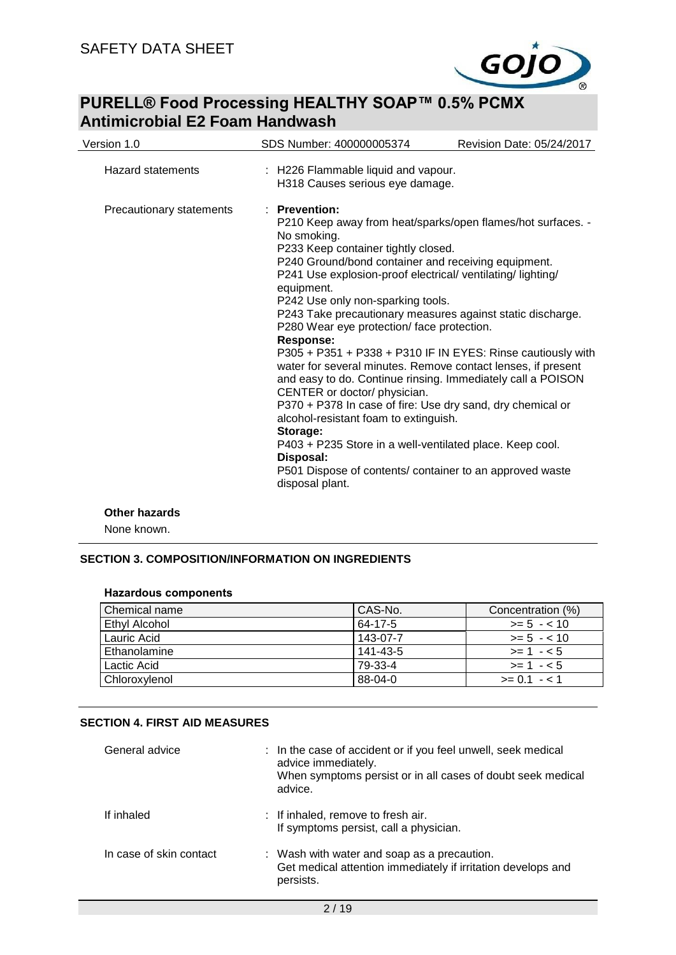

| Version 1.0              | SDS Number: 400000005374                                                                                                                                                                                                                                                                                                                                                                                                                                                                                                                                                                                                                                                                                                                                                                                                 | Revision Date: 05/24/2017                                                                                                  |  |
|--------------------------|--------------------------------------------------------------------------------------------------------------------------------------------------------------------------------------------------------------------------------------------------------------------------------------------------------------------------------------------------------------------------------------------------------------------------------------------------------------------------------------------------------------------------------------------------------------------------------------------------------------------------------------------------------------------------------------------------------------------------------------------------------------------------------------------------------------------------|----------------------------------------------------------------------------------------------------------------------------|--|
| <b>Hazard statements</b> | : H226 Flammable liquid and vapour.<br>H318 Causes serious eye damage.                                                                                                                                                                                                                                                                                                                                                                                                                                                                                                                                                                                                                                                                                                                                                   |                                                                                                                            |  |
| Precautionary statements | $:$ Prevention:<br>No smoking.<br>P233 Keep container tightly closed.<br>P240 Ground/bond container and receiving equipment.<br>P241 Use explosion-proof electrical/ ventilating/ lighting/<br>equipment.<br>P242 Use only non-sparking tools.<br>P243 Take precautionary measures against static discharge.<br>P280 Wear eye protection/ face protection.<br><b>Response:</b><br>water for several minutes. Remove contact lenses, if present<br>and easy to do. Continue rinsing. Immediately call a POISON<br>CENTER or doctor/ physician.<br>P370 + P378 In case of fire: Use dry sand, dry chemical or<br>alcohol-resistant foam to extinguish.<br>Storage:<br>P403 + P235 Store in a well-ventilated place. Keep cool.<br>Disposal:<br>P501 Dispose of contents/ container to an approved waste<br>disposal plant. | P210 Keep away from heat/sparks/open flames/hot surfaces. -<br>P305 + P351 + P338 + P310 IF IN EYES: Rinse cautiously with |  |
| <b>Other hazards</b>     |                                                                                                                                                                                                                                                                                                                                                                                                                                                                                                                                                                                                                                                                                                                                                                                                                          |                                                                                                                            |  |

None known.

### **SECTION 3. COMPOSITION/INFORMATION ON INGREDIENTS**

| Chemical name | CAS-No.  | Concentration (%) |
|---------------|----------|-------------------|
| Ethyl Alcohol | 64-17-5  | $>= 5 - 10$       |
| Lauric Acid   | 143-07-7 | $>= 5 - 10$       |
| Ethanolamine  | 141-43-5 | $>= 1 - 5$        |
| Lactic Acid   | 79-33-4  | $>= 1 - 5$        |
| Chloroxylenol | 88-04-0  | $>= 0.1 - 1.1$    |

### **Hazardous components**

### **SECTION 4. FIRST AID MEASURES**

| General advice          | : In the case of accident or if you feel unwell, seek medical<br>advice immediately.<br>When symptoms persist or in all cases of doubt seek medical<br>advice. |
|-------------------------|----------------------------------------------------------------------------------------------------------------------------------------------------------------|
| If inhaled              | : If inhaled, remove to fresh air.<br>If symptoms persist, call a physician.                                                                                   |
| In case of skin contact | : Wash with water and soap as a precaution.<br>Get medical attention immediately if irritation develops and<br>persists.                                       |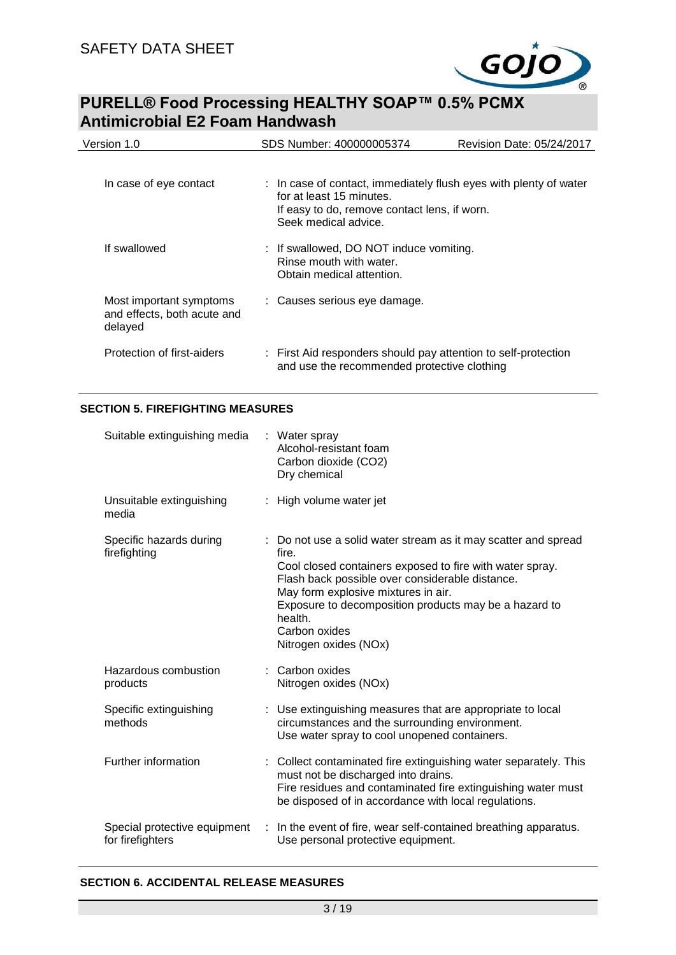

| Version 1.0                                                       | SDS Number: 400000005374<br>Revision Date: 05/24/2017                                                         |  |
|-------------------------------------------------------------------|---------------------------------------------------------------------------------------------------------------|--|
| In case of eye contact                                            | : In case of contact, immediately flush eyes with plenty of water                                             |  |
|                                                                   | for at least 15 minutes.<br>If easy to do, remove contact lens, if worn.<br>Seek medical advice.              |  |
| If swallowed                                                      | : If swallowed, DO NOT induce vomiting.<br>Rinse mouth with water.<br>Obtain medical attention.               |  |
| Most important symptoms<br>and effects, both acute and<br>delayed | : Causes serious eye damage.                                                                                  |  |
| Protection of first-aiders                                        | : First Aid responders should pay attention to self-protection<br>and use the recommended protective clothing |  |

### **SECTION 5. FIREFIGHTING MEASURES**

| Suitable extinguishing media                     | : Water spray<br>Alcohol-resistant foam<br>Carbon dioxide (CO2)<br>Dry chemical                                                                                                                                                                                                                                                             |
|--------------------------------------------------|---------------------------------------------------------------------------------------------------------------------------------------------------------------------------------------------------------------------------------------------------------------------------------------------------------------------------------------------|
| Unsuitable extinguishing<br>media                | High volume water jet                                                                                                                                                                                                                                                                                                                       |
| Specific hazards during<br>firefighting          | : Do not use a solid water stream as it may scatter and spread<br>fire.<br>Cool closed containers exposed to fire with water spray.<br>Flash back possible over considerable distance.<br>May form explosive mixtures in air.<br>Exposure to decomposition products may be a hazard to<br>health.<br>Carbon oxides<br>Nitrogen oxides (NOx) |
| Hazardous combustion<br>products                 | Carbon oxides<br>Nitrogen oxides (NOx)                                                                                                                                                                                                                                                                                                      |
| Specific extinguishing<br>methods                | : Use extinguishing measures that are appropriate to local<br>circumstances and the surrounding environment.<br>Use water spray to cool unopened containers.                                                                                                                                                                                |
| Further information                              | Collect contaminated fire extinguishing water separately. This<br>must not be discharged into drains.<br>Fire residues and contaminated fire extinguishing water must<br>be disposed of in accordance with local regulations.                                                                                                               |
| Special protective equipment<br>for firefighters | In the event of fire, wear self-contained breathing apparatus.<br>Use personal protective equipment.                                                                                                                                                                                                                                        |

### **SECTION 6. ACCIDENTAL RELEASE MEASURES**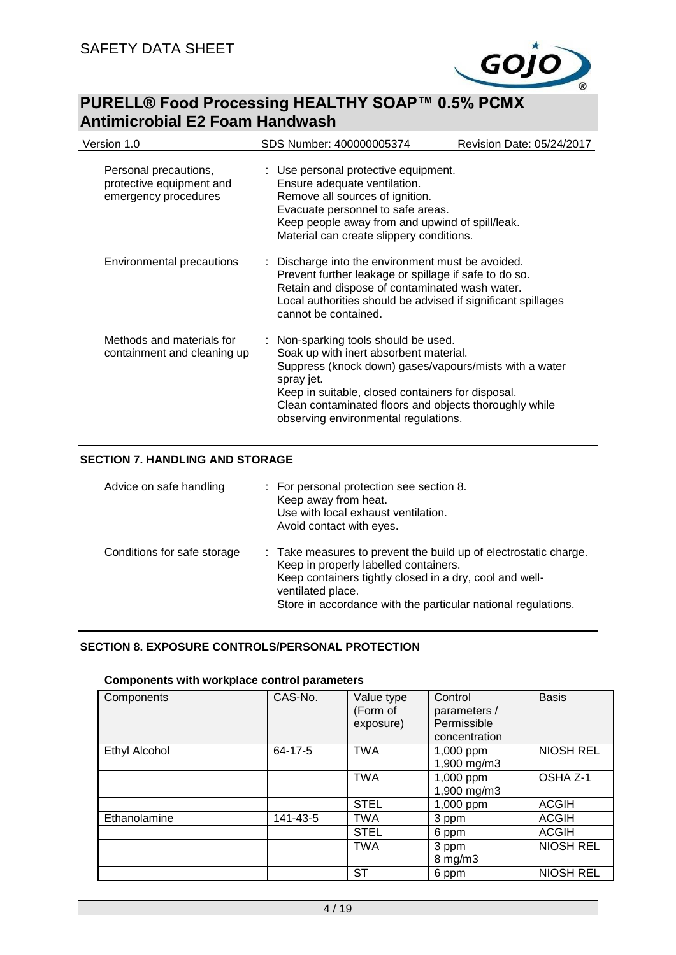

| Version 1.0                                                               | SDS Number: 400000005374                                                                                                                                                                                                                                                                                      | Revision Date: 05/24/2017 |
|---------------------------------------------------------------------------|---------------------------------------------------------------------------------------------------------------------------------------------------------------------------------------------------------------------------------------------------------------------------------------------------------------|---------------------------|
| Personal precautions,<br>protective equipment and<br>emergency procedures | : Use personal protective equipment.<br>Ensure adequate ventilation.<br>Remove all sources of ignition.<br>Evacuate personnel to safe areas.<br>Keep people away from and upwind of spill/leak.<br>Material can create slippery conditions.                                                                   |                           |
| Environmental precautions                                                 | : Discharge into the environment must be avoided.<br>Prevent further leakage or spillage if safe to do so.<br>Retain and dispose of contaminated wash water.<br>Local authorities should be advised if significant spillages<br>cannot be contained.                                                          |                           |
| Methods and materials for<br>containment and cleaning up                  | : Non-sparking tools should be used.<br>Soak up with inert absorbent material.<br>Suppress (knock down) gases/vapours/mists with a water<br>spray jet.<br>Keep in suitable, closed containers for disposal.<br>Clean contaminated floors and objects thoroughly while<br>observing environmental regulations. |                           |

### **SECTION 7. HANDLING AND STORAGE**

| Advice on safe handling     | : For personal protection see section 8.<br>Keep away from heat.<br>Use with local exhaust ventilation.<br>Avoid contact with eyes.                                                                                                                        |
|-----------------------------|------------------------------------------------------------------------------------------------------------------------------------------------------------------------------------------------------------------------------------------------------------|
| Conditions for safe storage | : Take measures to prevent the build up of electrostatic charge.<br>Keep in properly labelled containers.<br>Keep containers tightly closed in a dry, cool and well-<br>ventilated place.<br>Store in accordance with the particular national regulations. |

### **SECTION 8. EXPOSURE CONTROLS/PERSONAL PROTECTION**

### **Components with workplace control parameters**

| Components           | CAS-No.  | Value type<br>(Form of<br>exposure) | Control<br>parameters /<br>Permissible<br>concentration | <b>Basis</b>     |
|----------------------|----------|-------------------------------------|---------------------------------------------------------|------------------|
| <b>Ethyl Alcohol</b> | 64-17-5  | <b>TWA</b>                          | 1,000 ppm<br>1,900 mg/m3                                | <b>NIOSH REL</b> |
|                      |          | <b>TWA</b>                          | 1,000 ppm<br>1,900 mg/m3                                | OSHA Z-1         |
|                      |          | <b>STEL</b>                         | 1,000 ppm                                               | <b>ACGIH</b>     |
| Ethanolamine         | 141-43-5 | <b>TWA</b>                          | 3 ppm                                                   | <b>ACGIH</b>     |
|                      |          | <b>STEL</b>                         | 6 ppm                                                   | <b>ACGIH</b>     |
|                      |          | <b>TWA</b>                          | 3 ppm<br>8 mg/m3                                        | <b>NIOSH REL</b> |
|                      |          | <b>ST</b>                           | 6 ppm                                                   | <b>NIOSH REL</b> |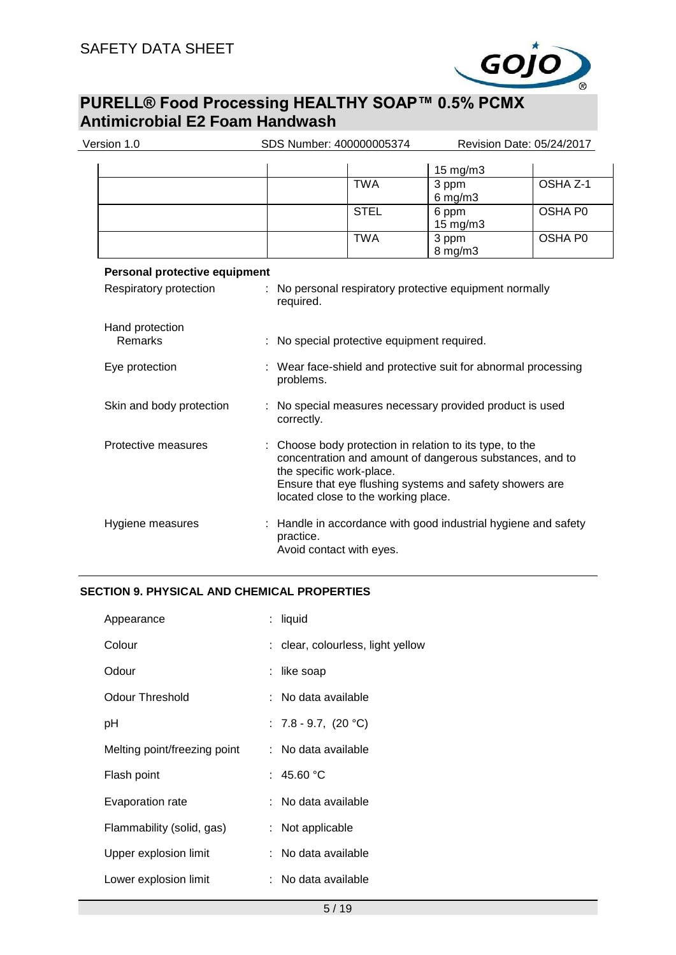

| Version 1.0                   | SDS Number: 400000005374 |                                                                                                                                                                                                                                                  |                       | Revision Date: 05/24/2017 |  |
|-------------------------------|--------------------------|--------------------------------------------------------------------------------------------------------------------------------------------------------------------------------------------------------------------------------------------------|-----------------------|---------------------------|--|
|                               |                          |                                                                                                                                                                                                                                                  | 15 mg/m3              |                           |  |
|                               |                          | <b>TWA</b>                                                                                                                                                                                                                                       | 3 ppm<br>$6$ mg/m $3$ | OSHA Z-1                  |  |
|                               |                          | <b>STEL</b>                                                                                                                                                                                                                                      | 6 ppm<br>15 mg/m3     | OSHA P0                   |  |
|                               |                          | <b>TWA</b>                                                                                                                                                                                                                                       | 3 ppm<br>8 mg/m3      | OSHA P0                   |  |
| Personal protective equipment |                          |                                                                                                                                                                                                                                                  |                       |                           |  |
| Respiratory protection        |                          | No personal respiratory protective equipment normally<br>required.                                                                                                                                                                               |                       |                           |  |
| Hand protection<br>Remarks    |                          | No special protective equipment required.                                                                                                                                                                                                        |                       |                           |  |
| Eye protection                |                          | : Wear face-shield and protective suit for abnormal processing<br>problems.                                                                                                                                                                      |                       |                           |  |
| Skin and body protection      |                          | : No special measures necessary provided product is used<br>correctly.                                                                                                                                                                           |                       |                           |  |
| Protective measures           |                          | Choose body protection in relation to its type, to the<br>concentration and amount of dangerous substances, and to<br>the specific work-place.<br>Ensure that eye flushing systems and safety showers are<br>located close to the working place. |                       |                           |  |
| Hygiene measures              |                          | Handle in accordance with good industrial hygiene and safety<br>practice.<br>Avoid contact with eyes.                                                                                                                                            |                       |                           |  |

### **SECTION 9. PHYSICAL AND CHEMICAL PROPERTIES**

| Appearance                   | : liquid                          |
|------------------------------|-----------------------------------|
| Colour                       | : clear, colourless, light yellow |
| Odour                        | like soap                         |
| Odour Threshold              | : No data available               |
| рH                           | : $7.8 - 9.7$ , $(20 °C)$         |
| Melting point/freezing point | : No data available               |
| Flash point                  | : 45.60 $^{\circ}$ C              |
| Evaporation rate             | : No data available               |
| Flammability (solid, gas)    | Not applicable                    |
| Upper explosion limit        | : No data available               |
| Lower explosion limit        | No data available                 |
|                              |                                   |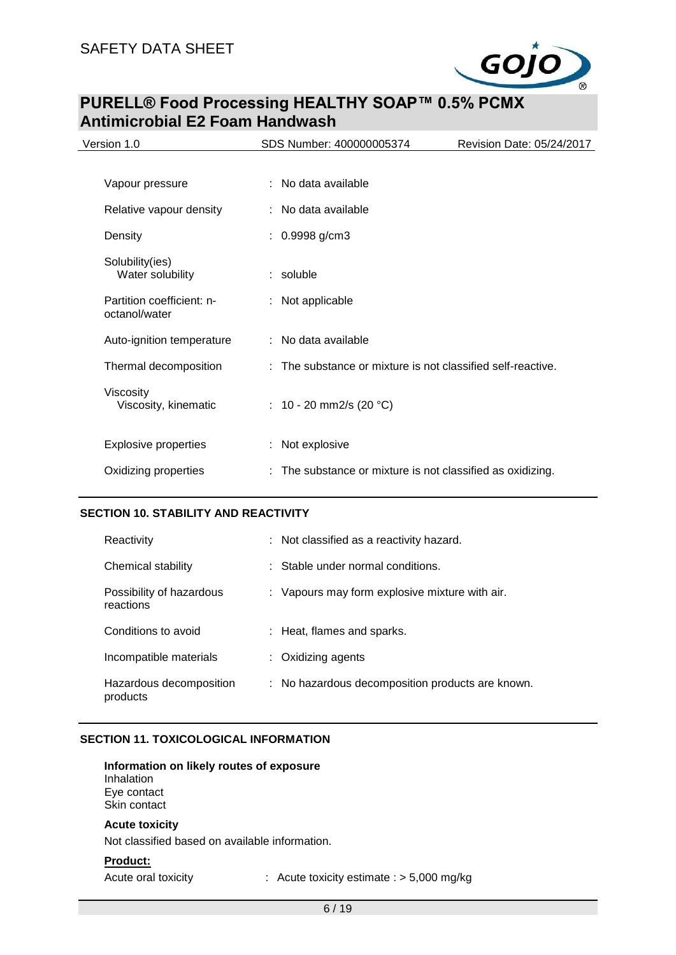

| Version 1.0                                | SDS Number: 400000005374                                    | Revision Date: 05/24/2017 |
|--------------------------------------------|-------------------------------------------------------------|---------------------------|
|                                            |                                                             |                           |
| Vapour pressure                            | : No data available                                         |                           |
| Relative vapour density                    | : No data available                                         |                           |
| Density                                    | $: 0.9998$ g/cm3                                            |                           |
| Solubility(ies)<br>Water solubility        | $:$ soluble                                                 |                           |
| Partition coefficient: n-<br>octanol/water | : Not applicable                                            |                           |
| Auto-ignition temperature                  | : No data available                                         |                           |
| Thermal decomposition                      | : The substance or mixture is not classified self-reactive. |                           |
| Viscosity<br>Viscosity, kinematic          | : $10 - 20$ mm2/s (20 °C)                                   |                           |
| <b>Explosive properties</b>                | : Not explosive                                             |                           |
| Oxidizing properties                       | : The substance or mixture is not classified as oxidizing.  |                           |

### **SECTION 10. STABILITY AND REACTIVITY**

| Reactivity                            | : Not classified as a reactivity hazard.         |
|---------------------------------------|--------------------------------------------------|
| Chemical stability                    | $\therefore$ Stable under normal conditions.     |
| Possibility of hazardous<br>reactions | : Vapours may form explosive mixture with air.   |
| Conditions to avoid                   | : Heat, flames and sparks.                       |
| Incompatible materials                | $\therefore$ Oxidizing agents                    |
| Hazardous decomposition<br>products   | : No hazardous decomposition products are known. |

### **SECTION 11. TOXICOLOGICAL INFORMATION**

#### **Information on likely routes of exposure** Inhalation Eye contact Skin contact

### **Acute toxicity**

Not classified based on available information.

### **Product:**

Acute oral toxicity : Acute toxicity estimate : > 5,000 mg/kg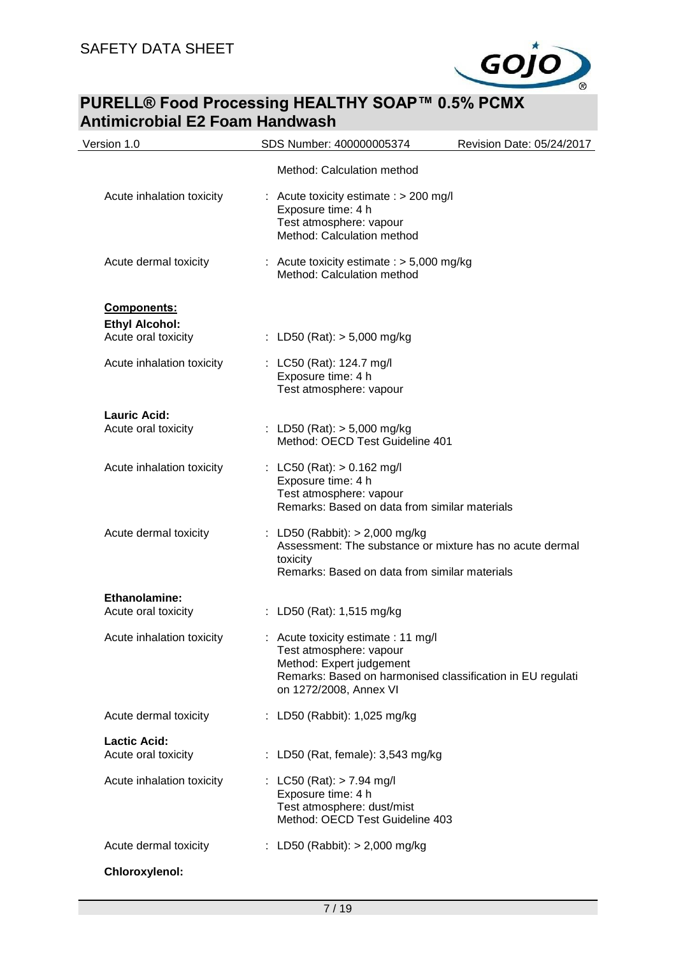

| Version 1.0                                  | SDS Number: 400000005374                                                                                                       | Revision Date: 05/24/2017                                  |
|----------------------------------------------|--------------------------------------------------------------------------------------------------------------------------------|------------------------------------------------------------|
|                                              | Method: Calculation method                                                                                                     |                                                            |
| Acute inhalation toxicity                    | : Acute toxicity estimate : $> 200$ mg/l<br>Exposure time: 4 h<br>Test atmosphere: vapour<br>Method: Calculation method        |                                                            |
| Acute dermal toxicity                        | : Acute toxicity estimate $:$ > 5,000 mg/kg<br>Method: Calculation method                                                      |                                                            |
| <b>Components:</b>                           |                                                                                                                                |                                                            |
| <b>Ethyl Alcohol:</b><br>Acute oral toxicity | : LD50 (Rat): $> 5,000$ mg/kg                                                                                                  |                                                            |
| Acute inhalation toxicity                    | : LC50 (Rat): 124.7 mg/l<br>Exposure time: 4 h<br>Test atmosphere: vapour                                                      |                                                            |
| Lauric Acid:<br>Acute oral toxicity          | : LD50 (Rat): $> 5,000$ mg/kg<br>Method: OECD Test Guideline 401                                                               |                                                            |
| Acute inhalation toxicity                    | : LC50 (Rat): $> 0.162$ mg/l<br>Exposure time: 4 h<br>Test atmosphere: vapour<br>Remarks: Based on data from similar materials |                                                            |
| Acute dermal toxicity                        | : LD50 (Rabbit): $> 2,000$ mg/kg<br>toxicity<br>Remarks: Based on data from similar materials                                  | Assessment: The substance or mixture has no acute dermal   |
| <b>Ethanolamine:</b>                         |                                                                                                                                |                                                            |
| Acute oral toxicity                          | : LD50 (Rat): 1,515 mg/kg                                                                                                      |                                                            |
| Acute inhalation toxicity                    | : Acute toxicity estimate : 11 mg/l<br>Test atmosphere: vapour<br>Method: Expert judgement<br>on 1272/2008, Annex VI           | Remarks: Based on harmonised classification in EU regulati |
| Acute dermal toxicity                        | : LD50 (Rabbit): 1,025 mg/kg                                                                                                   |                                                            |
| <b>Lactic Acid:</b><br>Acute oral toxicity   | : LD50 (Rat, female): 3,543 mg/kg                                                                                              |                                                            |
| Acute inhalation toxicity                    | : LC50 (Rat): $> 7.94$ mg/l<br>Exposure time: 4 h<br>Test atmosphere: dust/mist<br>Method: OECD Test Guideline 403             |                                                            |
| Acute dermal toxicity                        | : LD50 (Rabbit): $> 2,000$ mg/kg                                                                                               |                                                            |
| Chloroxylenol:                               |                                                                                                                                |                                                            |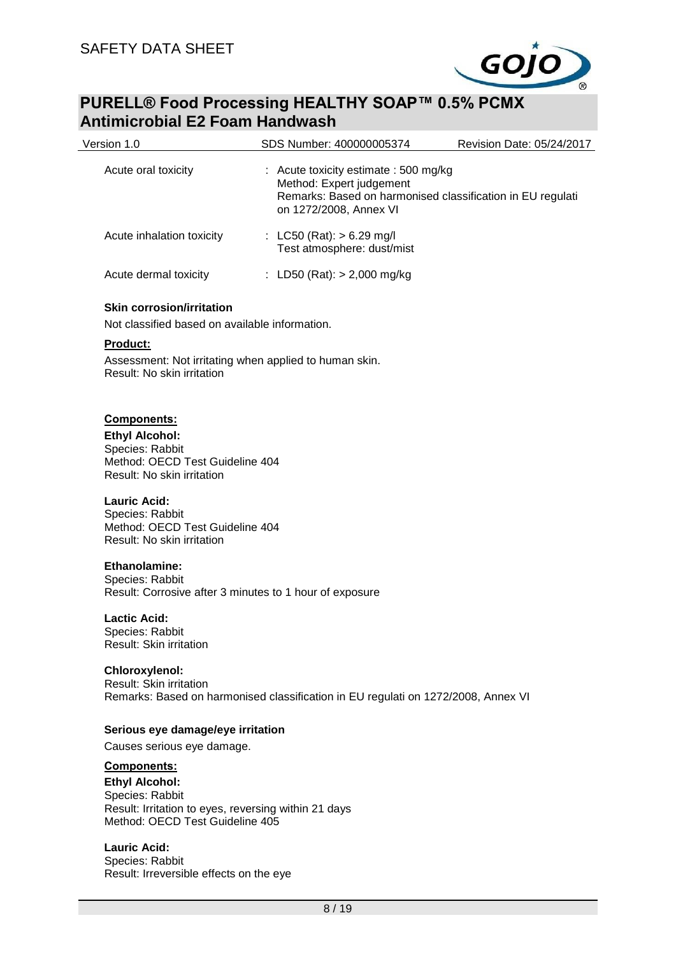

| Version 1.0                                                                                                                                                                                                                         | SDS Number: 400000005374                                                                                                                                  | Revision Date: 05/24/2017 |
|-------------------------------------------------------------------------------------------------------------------------------------------------------------------------------------------------------------------------------------|-----------------------------------------------------------------------------------------------------------------------------------------------------------|---------------------------|
| Acute oral toxicity                                                                                                                                                                                                                 | : Acute toxicity estimate : 500 mg/kg<br>Method: Expert judgement<br>Remarks: Based on harmonised classification in EU regulati<br>on 1272/2008, Annex VI |                           |
| Acute inhalation toxicity                                                                                                                                                                                                           | : LC50 (Rat): $> 6.29$ mg/l<br>Test atmosphere: dust/mist                                                                                                 |                           |
| Acute dermal toxicity                                                                                                                                                                                                               | : LD50 (Rat): $> 2,000$ mg/kg                                                                                                                             |                           |
| <b>Skin corrosion/irritation</b><br>Not classified based on available information.                                                                                                                                                  |                                                                                                                                                           |                           |
| <u>Product:</u>                                                                                                                                                                                                                     |                                                                                                                                                           |                           |
| Assessment: Not irritating when applied to human skin.<br>Result: No skin irritation                                                                                                                                                |                                                                                                                                                           |                           |
| Components:<br><b>Ethyl Alcohol:</b><br>Species: Rabbit<br>Method: OECD Test Guideline 404<br>Result: No skin irritation<br><b>Lauric Acid:</b><br>Species: Rabbit<br>Method: OECD Test Guideline 404<br>Result: No skin irritation |                                                                                                                                                           |                           |
| <b>Ethanolamine:</b><br>Species: Rabbit<br>Result: Corrosive after 3 minutes to 1 hour of exposure                                                                                                                                  |                                                                                                                                                           |                           |
| <b>Lactic Acid:</b><br>Species: Rabbit<br>Result: Skin irritation                                                                                                                                                                   |                                                                                                                                                           |                           |
| Chloroxylenol:<br>Result: Skin irritation                                                                                                                                                                                           | Remarks: Based on harmonised classification in EU regulati on 1272/2008, Annex VI                                                                         |                           |
| Serious eye damage/eye irritation                                                                                                                                                                                                   |                                                                                                                                                           |                           |
| Causes serious eye damage.                                                                                                                                                                                                          |                                                                                                                                                           |                           |
| <b>Components:</b>                                                                                                                                                                                                                  |                                                                                                                                                           |                           |
| <b>Ethyl Alcohol:</b>                                                                                                                                                                                                               |                                                                                                                                                           |                           |
| Species: Rabbit                                                                                                                                                                                                                     |                                                                                                                                                           |                           |
| Result: Irritation to eyes, reversing within 21 days<br>Method: OECD Test Guideline 405                                                                                                                                             |                                                                                                                                                           |                           |

**Lauric Acid:** Species: Rabbit Result: Irreversible effects on the eye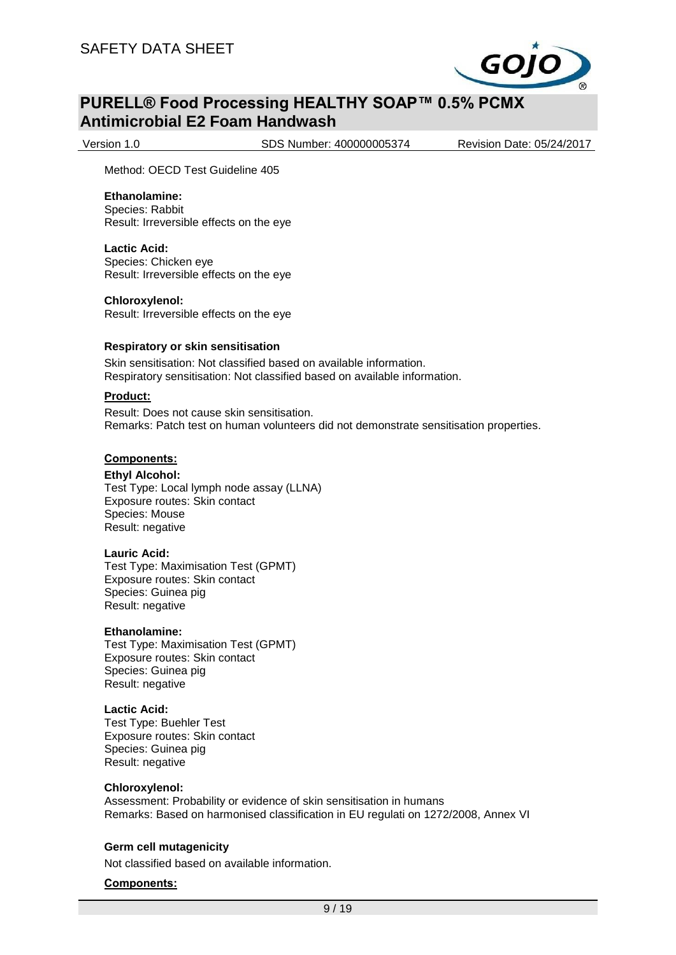

Version 1.0 SDS Number: 400000005374 Revision Date: 05/24/2017

Method: OECD Test Guideline 405

### **Ethanolamine:**

Species: Rabbit Result: Irreversible effects on the eye

#### **Lactic Acid:**

Species: Chicken eye Result: Irreversible effects on the eye

#### **Chloroxylenol:**

Result: Irreversible effects on the eye

#### **Respiratory or skin sensitisation**

Skin sensitisation: Not classified based on available information. Respiratory sensitisation: Not classified based on available information.

### **Product:**

Result: Does not cause skin sensitisation. Remarks: Patch test on human volunteers did not demonstrate sensitisation properties.

### **Components:**

#### **Ethyl Alcohol:**

Test Type: Local lymph node assay (LLNA) Exposure routes: Skin contact Species: Mouse Result: negative

#### **Lauric Acid:**

Test Type: Maximisation Test (GPMT) Exposure routes: Skin contact Species: Guinea pig Result: negative

#### **Ethanolamine:**

Test Type: Maximisation Test (GPMT) Exposure routes: Skin contact Species: Guinea pig Result: negative

#### **Lactic Acid:**

Test Type: Buehler Test Exposure routes: Skin contact Species: Guinea pig Result: negative

#### **Chloroxylenol:**

Assessment: Probability or evidence of skin sensitisation in humans Remarks: Based on harmonised classification in EU regulati on 1272/2008, Annex VI

### **Germ cell mutagenicity**

Not classified based on available information.

### **Components:**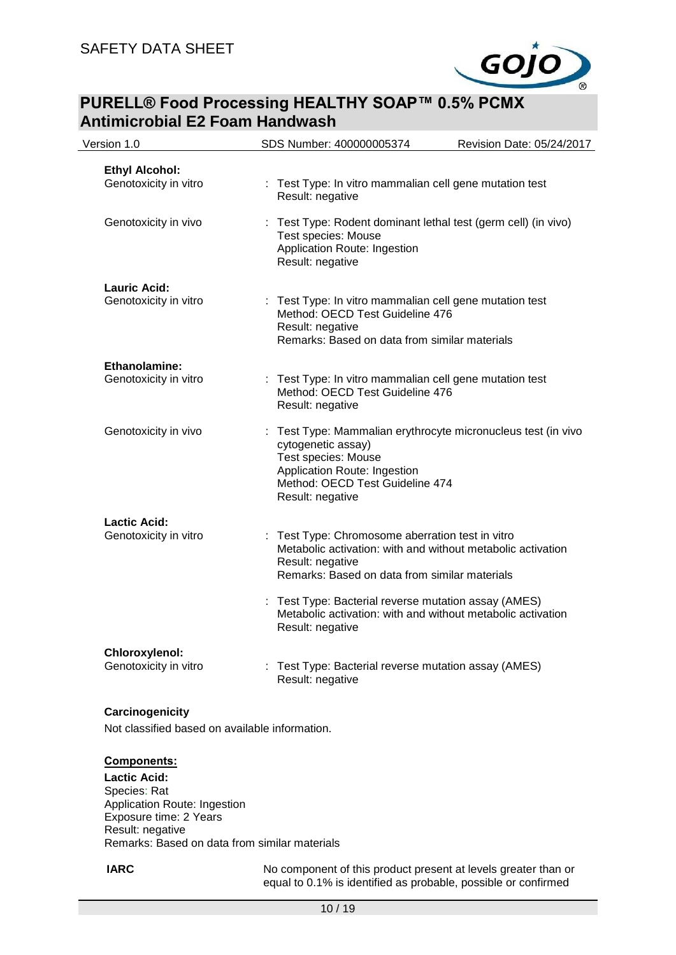

| Version 1.0                                    | SDS Number: 400000005374                                                                                                                                                                          | Revision Date: 05/24/2017 |
|------------------------------------------------|---------------------------------------------------------------------------------------------------------------------------------------------------------------------------------------------------|---------------------------|
| <b>Ethyl Alcohol:</b><br>Genotoxicity in vitro | : Test Type: In vitro mammalian cell gene mutation test<br>Result: negative                                                                                                                       |                           |
| Genotoxicity in vivo                           | : Test Type: Rodent dominant lethal test (germ cell) (in vivo)<br><b>Test species: Mouse</b><br>Application Route: Ingestion<br>Result: negative                                                  |                           |
| <b>Lauric Acid:</b><br>Genotoxicity in vitro   | : Test Type: In vitro mammalian cell gene mutation test<br>Method: OECD Test Guideline 476<br>Result: negative<br>Remarks: Based on data from similar materials                                   |                           |
| <b>Ethanolamine:</b><br>Genotoxicity in vitro  | : Test Type: In vitro mammalian cell gene mutation test<br>Method: OECD Test Guideline 476<br>Result: negative                                                                                    |                           |
| Genotoxicity in vivo                           | : Test Type: Mammalian erythrocyte micronucleus test (in vivo<br>cytogenetic assay)<br>Test species: Mouse<br>Application Route: Ingestion<br>Method: OECD Test Guideline 474<br>Result: negative |                           |
| <b>Lactic Acid:</b><br>Genotoxicity in vitro   | : Test Type: Chromosome aberration test in vitro<br>Metabolic activation: with and without metabolic activation<br>Result: negative<br>Remarks: Based on data from similar materials              |                           |
|                                                | : Test Type: Bacterial reverse mutation assay (AMES)<br>Metabolic activation: with and without metabolic activation<br>Result: negative                                                           |                           |
| Chloroxylenol:<br>Genotoxicity in vitro        | : Test Type: Bacterial reverse mutation assay (AMES)<br>Result: negative                                                                                                                          |                           |

### **Carcinogenicity**

Not classified based on available information.

#### **Components:**

**Lactic Acid:** Species: Rat Application Route: Ingestion Exposure time: 2 Years Result: negative Remarks: Based on data from similar materials

**IARC** No component of this product present at levels greater than or equal to 0.1% is identified as probable, possible or confirmed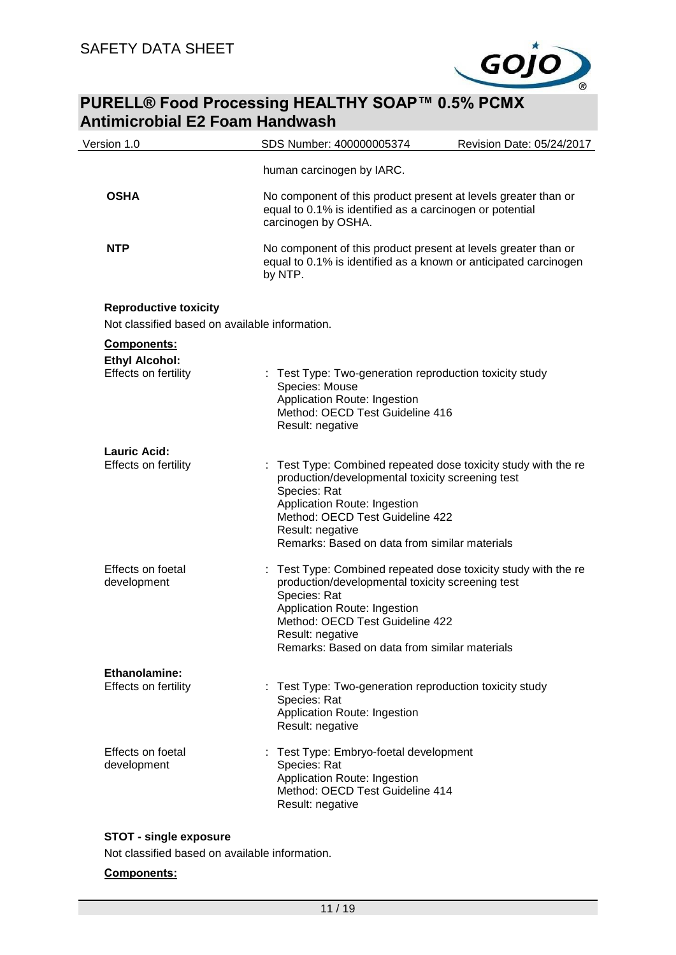

| Version 1.0                                                                    | SDS Number: 400000005374                                                                                                                                                                                 | Revision Date: 05/24/2017                                                                                                          |
|--------------------------------------------------------------------------------|----------------------------------------------------------------------------------------------------------------------------------------------------------------------------------------------------------|------------------------------------------------------------------------------------------------------------------------------------|
|                                                                                | human carcinogen by IARC.                                                                                                                                                                                |                                                                                                                                    |
| <b>OSHA</b>                                                                    | equal to 0.1% is identified as a carcinogen or potential<br>carcinogen by OSHA.                                                                                                                          | No component of this product present at levels greater than or                                                                     |
| <b>NTP</b>                                                                     | by NTP.                                                                                                                                                                                                  | No component of this product present at levels greater than or<br>equal to 0.1% is identified as a known or anticipated carcinogen |
| <b>Reproductive toxicity</b><br>Not classified based on available information. |                                                                                                                                                                                                          |                                                                                                                                    |
| Components:<br><b>Ethyl Alcohol:</b>                                           |                                                                                                                                                                                                          |                                                                                                                                    |
| Effects on fertility                                                           | : Test Type: Two-generation reproduction toxicity study<br>Species: Mouse<br>Application Route: Ingestion<br>Method: OECD Test Guideline 416<br>Result: negative                                         |                                                                                                                                    |
| <b>Lauric Acid:</b><br>Effects on fertility                                    |                                                                                                                                                                                                          | Test Type: Combined repeated dose toxicity study with the re                                                                       |
|                                                                                | production/developmental toxicity screening test<br>Species: Rat<br>Application Route: Ingestion<br>Method: OECD Test Guideline 422<br>Result: negative<br>Remarks: Based on data from similar materials |                                                                                                                                    |
| Effects on foetal<br>development                                               | production/developmental toxicity screening test<br>Species: Rat<br>Application Route: Ingestion<br>Method: OECD Test Guideline 422                                                                      | : Test Type: Combined repeated dose toxicity study with the re                                                                     |
|                                                                                | Result: negative<br>Remarks: Based on data from similar materials                                                                                                                                        |                                                                                                                                    |
| Ethanolamine:                                                                  |                                                                                                                                                                                                          |                                                                                                                                    |
| Effects on fertility                                                           | Test Type: Two-generation reproduction toxicity study<br>Species: Rat<br>Application Route: Ingestion<br>Result: negative                                                                                |                                                                                                                                    |
| Effects on foetal<br>development                                               | Test Type: Embryo-foetal development<br>Species: Rat<br>Application Route: Ingestion<br>Method: OECD Test Guideline 414<br>Result: negative                                                              |                                                                                                                                    |

### **STOT - single exposure**

Not classified based on available information.

### **Components:**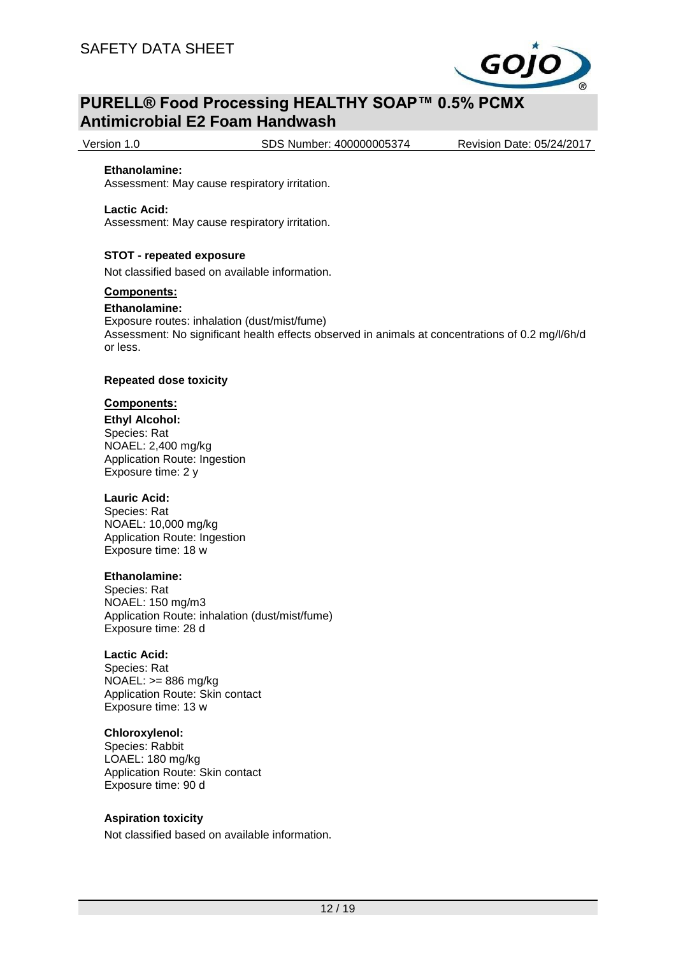

Version 1.0 SDS Number: 400000005374 Revision Date: 05/24/2017

#### **Ethanolamine:**

Assessment: May cause respiratory irritation.

#### **Lactic Acid:**

Assessment: May cause respiratory irritation.

### **STOT - repeated exposure**

Not classified based on available information.

#### **Components:**

#### **Ethanolamine:**

Exposure routes: inhalation (dust/mist/fume) Assessment: No significant health effects observed in animals at concentrations of 0.2 mg/l/6h/d or less.

#### **Repeated dose toxicity**

### **Components:**

**Ethyl Alcohol:** Species: Rat NOAEL: 2,400 mg/kg Application Route: Ingestion Exposure time: 2 y

### **Lauric Acid:**

Species: Rat NOAEL: 10,000 mg/kg Application Route: Ingestion Exposure time: 18 w

### **Ethanolamine:**

Species: Rat NOAEL: 150 mg/m3 Application Route: inhalation (dust/mist/fume) Exposure time: 28 d

### **Lactic Acid:**

Species: Rat NOAEL: >= 886 mg/kg Application Route: Skin contact Exposure time: 13 w

### **Chloroxylenol:**

Species: Rabbit LOAEL: 180 mg/kg Application Route: Skin contact Exposure time: 90 d

### **Aspiration toxicity**

Not classified based on available information.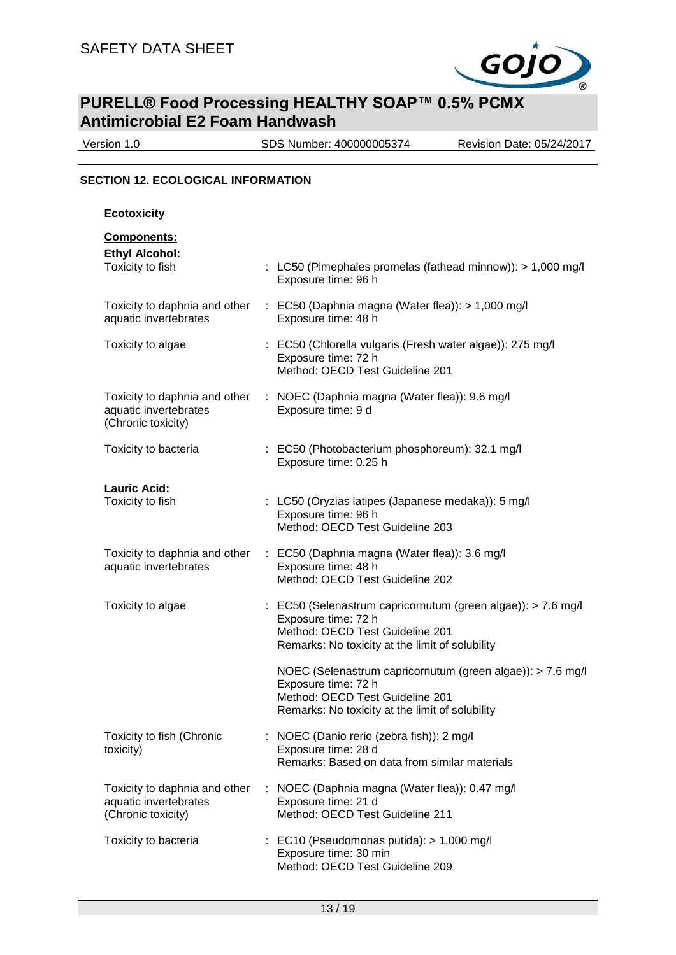

Version 1.0 SDS Number: 400000005374 Revision Date: 05/24/2017

### **SECTION 12. ECOLOGICAL INFORMATION**

**Ecotoxicity**

| <b>Components:</b> |  |
|--------------------|--|
|                    |  |

| <b>Ethyl Alcohol:</b><br>Toxicity to fish                                    | : LC50 (Pimephales promelas (fathead minnow)): > 1,000 mg/l<br>Exposure time: 96 h                                                                                        |
|------------------------------------------------------------------------------|---------------------------------------------------------------------------------------------------------------------------------------------------------------------------|
| Toxicity to daphnia and other<br>aquatic invertebrates                       | : EC50 (Daphnia magna (Water flea)): > 1,000 mg/l<br>Exposure time: 48 h                                                                                                  |
| Toxicity to algae                                                            | : EC50 (Chlorella vulgaris (Fresh water algae)): 275 mg/l<br>Exposure time: 72 h<br>Method: OECD Test Guideline 201                                                       |
| Toxicity to daphnia and other<br>aquatic invertebrates<br>(Chronic toxicity) | : NOEC (Daphnia magna (Water flea)): 9.6 mg/l<br>Exposure time: 9 d                                                                                                       |
| Toxicity to bacteria                                                         | : EC50 (Photobacterium phosphoreum): 32.1 mg/l<br>Exposure time: 0.25 h                                                                                                   |
| <b>Lauric Acid:</b><br>Toxicity to fish                                      | : LC50 (Oryzias latipes (Japanese medaka)): 5 mg/l<br>Exposure time: 96 h<br>Method: OECD Test Guideline 203                                                              |
| Toxicity to daphnia and other<br>aquatic invertebrates                       | : EC50 (Daphnia magna (Water flea)): 3.6 mg/l<br>Exposure time: 48 h<br>Method: OECD Test Guideline 202                                                                   |
| Toxicity to algae                                                            | : EC50 (Selenastrum capricornutum (green algae)): > 7.6 mg/l<br>Exposure time: 72 h<br>Method: OECD Test Guideline 201<br>Remarks: No toxicity at the limit of solubility |
|                                                                              | NOEC (Selenastrum capricornutum (green algae)): > 7.6 mg/l<br>Exposure time: 72 h<br>Method: OECD Test Guideline 201<br>Remarks: No toxicity at the limit of solubility   |
| Toxicity to fish (Chronic<br>toxicity)                                       | : NOEC (Danio rerio (zebra fish)): 2 mg/l<br>Exposure time: 28 d<br>Remarks: Based on data from similar materials                                                         |
| Toxicity to daphnia and other<br>aquatic invertebrates<br>(Chronic toxicity) | : NOEC (Daphnia magna (Water flea)): 0.47 mg/l<br>Exposure time: 21 d<br>Method: OECD Test Guideline 211                                                                  |
| Toxicity to bacteria                                                         | $\therefore$ EC10 (Pseudomonas putida): $> 1,000$ mg/l<br>Exposure time: 30 min<br>Method: OECD Test Guideline 209                                                        |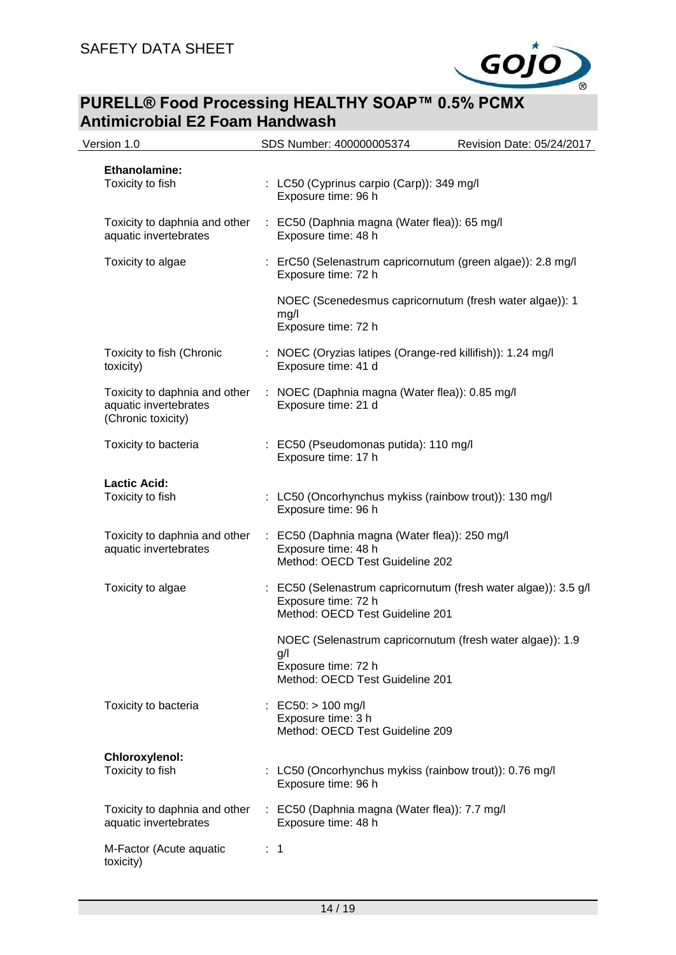

| Version 1.0                                                                  | SDS Number: 400000005374                                                      | Revision Date: 05/24/2017                                       |
|------------------------------------------------------------------------------|-------------------------------------------------------------------------------|-----------------------------------------------------------------|
| Ethanolamine:<br>Toxicity to fish                                            | : LC50 (Cyprinus carpio (Carp)): 349 mg/l<br>Exposure time: 96 h              |                                                                 |
| Toxicity to daphnia and other<br>aquatic invertebrates                       | Exposure time: 48 h                                                           | : EC50 (Daphnia magna (Water flea)): 65 mg/l                    |
| Toxicity to algae                                                            | Exposure time: 72 h                                                           | : ErC50 (Selenastrum capricornutum (green algae)): 2.8 mg/l     |
|                                                                              | mg/l<br>Exposure time: 72 h                                                   | NOEC (Scenedesmus capricornutum (fresh water algae)): 1         |
| Toxicity to fish (Chronic<br>toxicity)                                       | Exposure time: 41 d                                                           | : NOEC (Oryzias latipes (Orange-red killifish)): 1.24 mg/l      |
| Toxicity to daphnia and other<br>aquatic invertebrates<br>(Chronic toxicity) | Exposure time: 21 d                                                           | : NOEC (Daphnia magna (Water flea)): 0.85 mg/l                  |
| Toxicity to bacteria                                                         | : EC50 (Pseudomonas putida): 110 mg/l<br>Exposure time: 17 h                  |                                                                 |
| <b>Lactic Acid:</b><br>Toxicity to fish                                      | Exposure time: 96 h                                                           | : LC50 (Oncorhynchus mykiss (rainbow trout)): 130 mg/l          |
| Toxicity to daphnia and other<br>aquatic invertebrates                       | Exposure time: 48 h<br>Method: OECD Test Guideline 202                        | : EC50 (Daphnia magna (Water flea)): 250 mg/l                   |
| Toxicity to algae                                                            | Exposure time: 72 h<br>Method: OECD Test Guideline 201                        | : EC50 (Selenastrum capricornutum (fresh water algae)): 3.5 g/l |
|                                                                              | g/l<br>Exposure time: 72 h<br>Method: OECD Test Guideline 201                 | NOEC (Selenastrum capricornutum (fresh water algae)): 1.9       |
| Toxicity to bacteria                                                         | : EC50: $> 100$ mg/l<br>Exposure time: 3 h<br>Method: OECD Test Guideline 209 |                                                                 |
| Chloroxylenol:<br>Toxicity to fish                                           | Exposure time: 96 h                                                           | : LC50 (Oncorhynchus mykiss (rainbow trout)): 0.76 mg/l         |
| Toxicity to daphnia and other<br>aquatic invertebrates                       | Exposure time: 48 h                                                           | : EC50 (Daphnia magna (Water flea)): 7.7 mg/l                   |
| M-Factor (Acute aquatic<br>toxicity)                                         | $\therefore$ 1                                                                |                                                                 |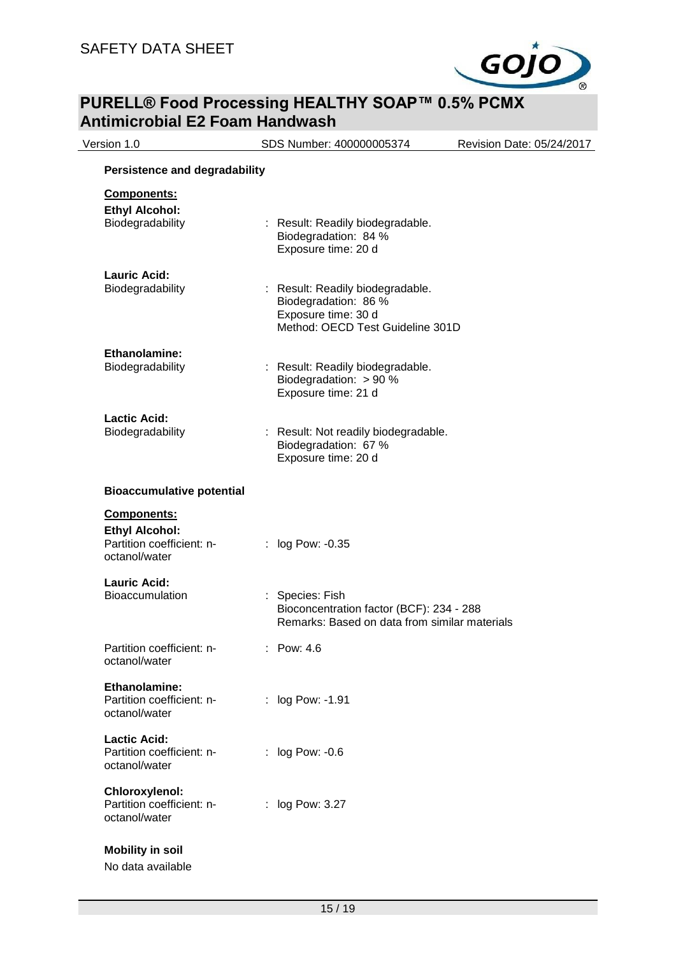

| Version 1.0                                                                        | SDS Number: 400000005374                                                                                            | Revision Date: 05/24/2017 |
|------------------------------------------------------------------------------------|---------------------------------------------------------------------------------------------------------------------|---------------------------|
| <b>Persistence and degradability</b>                                               |                                                                                                                     |                           |
| Components:<br><b>Ethyl Alcohol:</b><br>Biodegradability                           | : Result: Readily biodegradable.<br>Biodegradation: 84 %<br>Exposure time: 20 d                                     |                           |
| <b>Lauric Acid:</b><br>Biodegradability                                            | : Result: Readily biodegradable.<br>Biodegradation: 86 %<br>Exposure time: 30 d<br>Method: OECD Test Guideline 301D |                           |
| Ethanolamine:<br>Biodegradability                                                  | : Result: Readily biodegradable.<br>Biodegradation: > 90 %<br>Exposure time: 21 d                                   |                           |
| <b>Lactic Acid:</b><br>Biodegradability                                            | Result: Not readily biodegradable.<br>Biodegradation: 67 %<br>Exposure time: 20 d                                   |                           |
| <b>Bioaccumulative potential</b>                                                   |                                                                                                                     |                           |
| Components:<br><b>Ethyl Alcohol:</b><br>Partition coefficient: n-<br>octanol/water | : log Pow: -0.35                                                                                                    |                           |
| <b>Lauric Acid:</b><br><b>Bioaccumulation</b>                                      | Species: Fish<br>Bioconcentration factor (BCF): 234 - 288<br>Remarks: Based on data from similar materials          |                           |
| Partition coefficient: n-<br>octanol/water                                         | : Pow: 4.6                                                                                                          |                           |
| Ethanolamine:<br>Partition coefficient: n-<br>octanol/water                        | : log Pow: -1.91                                                                                                    |                           |
| <b>Lactic Acid:</b><br>Partition coefficient: n-<br>octanol/water                  | : log Pow: -0.6                                                                                                     |                           |
| Chloroxylenol:<br>Partition coefficient: n-<br>octanol/water                       | : log Pow: 3.27                                                                                                     |                           |
| <b>Mobility in soil</b><br>No data available                                       |                                                                                                                     |                           |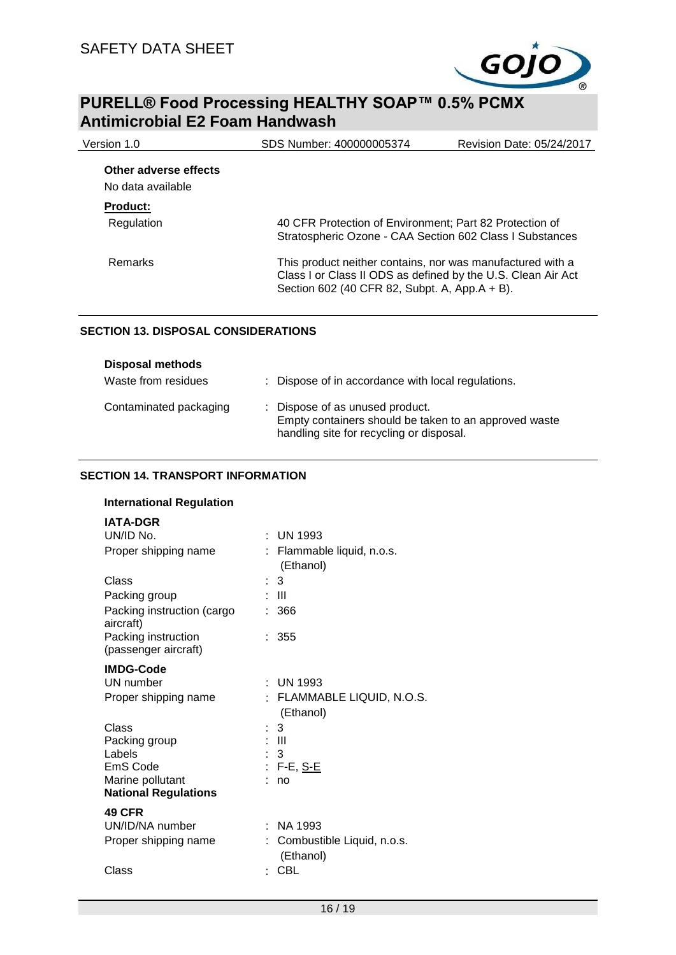

| Version 1.0                                | SDS Number: 400000005374                                                                                                                                                    | Revision Date: 05/24/2017 |
|--------------------------------------------|-----------------------------------------------------------------------------------------------------------------------------------------------------------------------------|---------------------------|
| Other adverse effects<br>No data available |                                                                                                                                                                             |                           |
| <b>Product:</b>                            |                                                                                                                                                                             |                           |
| Regulation                                 | 40 CFR Protection of Environment; Part 82 Protection of<br>Stratospheric Ozone - CAA Section 602 Class I Substances                                                         |                           |
| Remarks                                    | This product neither contains, nor was manufactured with a<br>Class I or Class II ODS as defined by the U.S. Clean Air Act<br>Section 602 (40 CFR 82, Subpt. A, App.A + B). |                           |

### **SECTION 13. DISPOSAL CONSIDERATIONS**

| <b>Disposal methods</b> |                                                                                                                                      |
|-------------------------|--------------------------------------------------------------------------------------------------------------------------------------|
| Waste from residues     | : Dispose of in accordance with local regulations.                                                                                   |
| Contaminated packaging  | : Dispose of as unused product.<br>Empty containers should be taken to an approved waste<br>handling site for recycling or disposal. |

### **SECTION 14. TRANSPORT INFORMATION**

| <b>International Regulation</b> |  |
|---------------------------------|--|
|---------------------------------|--|

| <b>IATA-DGR</b>                             |   |                                         |
|---------------------------------------------|---|-----------------------------------------|
| UN/ID No.                                   |   | UN 1993                                 |
| Proper shipping name                        |   | Flammable liquid, n.o.s.<br>(Ethanol)   |
| Class                                       |   | 3                                       |
| Packing group                               |   | Ш                                       |
| Packing instruction (cargo<br>aircraft)     |   | 366                                     |
| Packing instruction<br>(passenger aircraft) |   | 355                                     |
| <b>IMDG-Code</b>                            |   |                                         |
| UN number                                   |   | : UN 1993                               |
| Proper shipping name                        |   | : FLAMMABLE LIQUID, N.O.S.<br>(Ethanol) |
| Class                                       |   | 3                                       |
| Packing group                               |   | : III                                   |
| Labels                                      |   | $\therefore$ 3                          |
| EmS Code                                    |   | : F-E, <u>S-E</u>                       |
| Marine pollutant                            |   | no                                      |
| <b>National Regulations</b>                 |   |                                         |
| <b>49 CFR</b>                               |   |                                         |
| UN/ID/NA number                             | ٠ | NA 1993                                 |
| Proper shipping name                        |   | Combustible Liquid, n.o.s.<br>(Ethanol) |
| Class                                       |   | CBL                                     |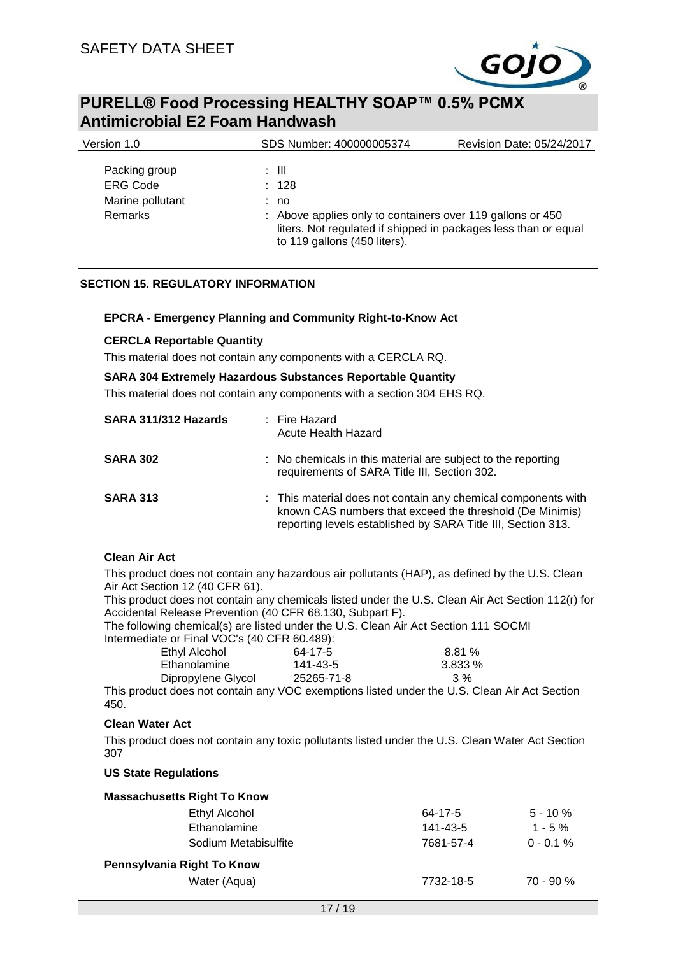

| Version 1.0                                                     | SDS Number: 400000005374                                                                                                                                                                | Revision Date: 05/24/2017 |
|-----------------------------------------------------------------|-----------------------------------------------------------------------------------------------------------------------------------------------------------------------------------------|---------------------------|
| Packing group<br><b>ERG Code</b><br>Marine pollutant<br>Remarks | : III<br>: 128<br>: no<br>: Above applies only to containers over 119 gallons or 450<br>liters. Not regulated if shipped in packages less than or equal<br>to 119 gallons (450 liters). |                           |
|                                                                 |                                                                                                                                                                                         |                           |

### **SECTION 15. REGULATORY INFORMATION**

### **EPCRA - Emergency Planning and Community Right-to-Know Act**

### **CERCLA Reportable Quantity**

This material does not contain any components with a CERCLA RQ.

#### **SARA 304 Extremely Hazardous Substances Reportable Quantity**

This material does not contain any components with a section 304 EHS RQ.

| SARA 311/312 Hazards | : Fire Hazard<br>Acute Health Hazard                                                                                                                                                      |
|----------------------|-------------------------------------------------------------------------------------------------------------------------------------------------------------------------------------------|
| <b>SARA 302</b>      | : No chemicals in this material are subject to the reporting<br>requirements of SARA Title III, Section 302.                                                                              |
| <b>SARA 313</b>      | : This material does not contain any chemical components with<br>known CAS numbers that exceed the threshold (De Minimis)<br>reporting levels established by SARA Title III, Section 313. |

### **Clean Air Act**

This product does not contain any hazardous air pollutants (HAP), as defined by the U.S. Clean Air Act Section 12 (40 CFR 61).

This product does not contain any chemicals listed under the U.S. Clean Air Act Section 112(r) for Accidental Release Prevention (40 CFR 68.130, Subpart F).

The following chemical(s) are listed under the U.S. Clean Air Act Section 111 SOCMI Intermediate or Final VOC's (40 CFR 60.489):

| Ethyl Alcohol      | 64-17-5                                                                                                                              | 8.81%     |
|--------------------|--------------------------------------------------------------------------------------------------------------------------------------|-----------|
| Ethanolamine       | 141-43-5                                                                                                                             | $3.833\%$ |
| Dipropylene Glycol | 25265-71-8                                                                                                                           | 3 %       |
|                    | $\mathbf{u}$ , $\mathbf{u}$ , $\mathbf{u}$ , $\mathbf{u}$ , $\mathbf{u}$ , $\mathbf{u}$ , $\mathbf{u}$ , $\mathbf{u}$ , $\mathbf{u}$ |           |

This product does not contain any VOC exemptions listed under the U.S. Clean Air Act Section 450.

### **Clean Water Act**

This product does not contain any toxic pollutants listed under the U.S. Clean Water Act Section 307

#### **US State Regulations**

| <b>Massachusetts Right To Know</b> |             |  |  |  |
|------------------------------------|-------------|--|--|--|
| 64-17-5                            | $5 - 10%$   |  |  |  |
| 141-43-5                           | $1 - 5\%$   |  |  |  |
| 7681-57-4                          | $0 - 0.1 %$ |  |  |  |
| Pennsylvania Right To Know         |             |  |  |  |
| 7732-18-5                          | $70 - 90 %$ |  |  |  |
|                                    |             |  |  |  |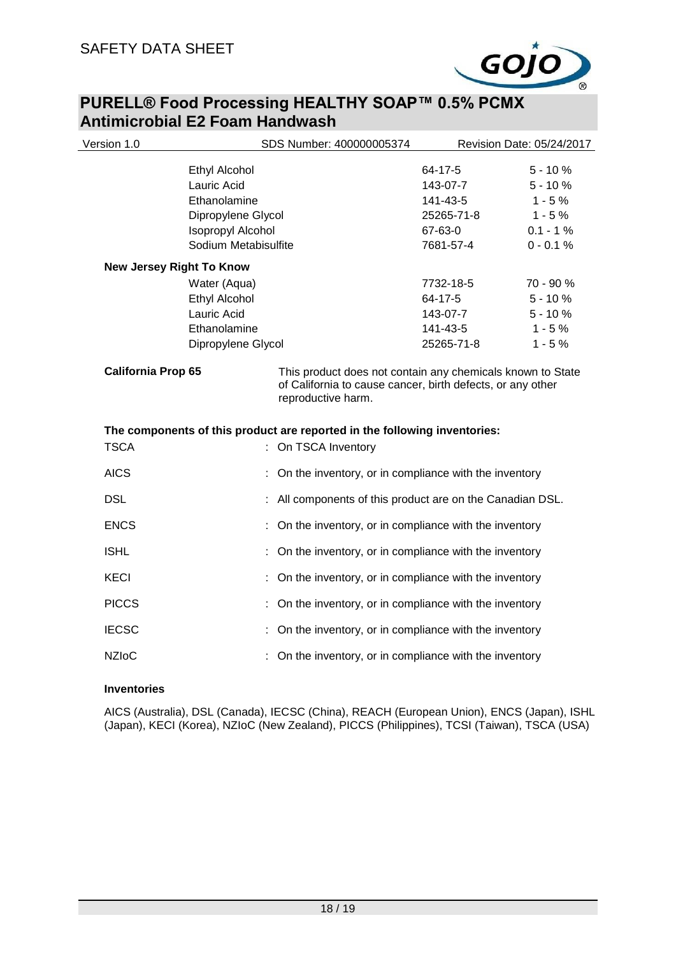

| Version 1.0                     |                          | SDS Number: 400000005374                                                                                                                                                             |            | Revision Date: 05/24/2017 |
|---------------------------------|--------------------------|--------------------------------------------------------------------------------------------------------------------------------------------------------------------------------------|------------|---------------------------|
|                                 | Ethyl Alcohol            |                                                                                                                                                                                      | 64-17-5    | $5 - 10%$                 |
|                                 | Lauric Acid              |                                                                                                                                                                                      | 143-07-7   | $5 - 10%$                 |
|                                 | Ethanolamine             |                                                                                                                                                                                      | 141-43-5   | $1 - 5%$                  |
|                                 | Dipropylene Glycol       |                                                                                                                                                                                      | 25265-71-8 | $1 - 5%$                  |
|                                 | <b>Isopropyl Alcohol</b> |                                                                                                                                                                                      | 67-63-0    | $0.1 - 1%$                |
|                                 | Sodium Metabisulfite     |                                                                                                                                                                                      | 7681-57-4  | $0 - 0.1 %$               |
| <b>New Jersey Right To Know</b> |                          |                                                                                                                                                                                      |            |                           |
|                                 | Water (Aqua)             |                                                                                                                                                                                      | 7732-18-5  | 70 - 90 %                 |
|                                 | <b>Ethyl Alcohol</b>     |                                                                                                                                                                                      | 64-17-5    | $5 - 10%$                 |
|                                 | Lauric Acid              |                                                                                                                                                                                      | 143-07-7   | $5 - 10%$                 |
|                                 | Ethanolamine             |                                                                                                                                                                                      | 141-43-5   | $1 - 5%$                  |
|                                 | Dipropylene Glycol       |                                                                                                                                                                                      | 25265-71-8 | $1 - 5%$                  |
| <b>TSCA</b>                     |                          | of California to cause cancer, birth defects, or any other<br>reproductive harm.<br>The components of this product are reported in the following inventories:<br>: On TSCA Inventory |            |                           |
| <b>AICS</b>                     |                          |                                                                                                                                                                                      |            |                           |
|                                 |                          | : On the inventory, or in compliance with the inventory                                                                                                                              |            |                           |
| <b>DSL</b>                      |                          | All components of this product are on the Canadian DSL.                                                                                                                              |            |                           |
| <b>ENCS</b>                     |                          | : On the inventory, or in compliance with the inventory                                                                                                                              |            |                           |
| <b>ISHL</b>                     |                          | On the inventory, or in compliance with the inventory                                                                                                                                |            |                           |
| <b>KECI</b>                     |                          | On the inventory, or in compliance with the inventory                                                                                                                                |            |                           |
| <b>PICCS</b>                    |                          | On the inventory, or in compliance with the inventory                                                                                                                                |            |                           |
| <b>IECSC</b>                    |                          | : On the inventory, or in compliance with the inventory                                                                                                                              |            |                           |
|                                 |                          |                                                                                                                                                                                      |            |                           |
| <b>NZIoC</b>                    |                          | On the inventory, or in compliance with the inventory                                                                                                                                |            |                           |
|                                 |                          |                                                                                                                                                                                      |            |                           |

### **Inventories**

AICS (Australia), DSL (Canada), IECSC (China), REACH (European Union), ENCS (Japan), ISHL (Japan), KECI (Korea), NZIoC (New Zealand), PICCS (Philippines), TCSI (Taiwan), TSCA (USA)